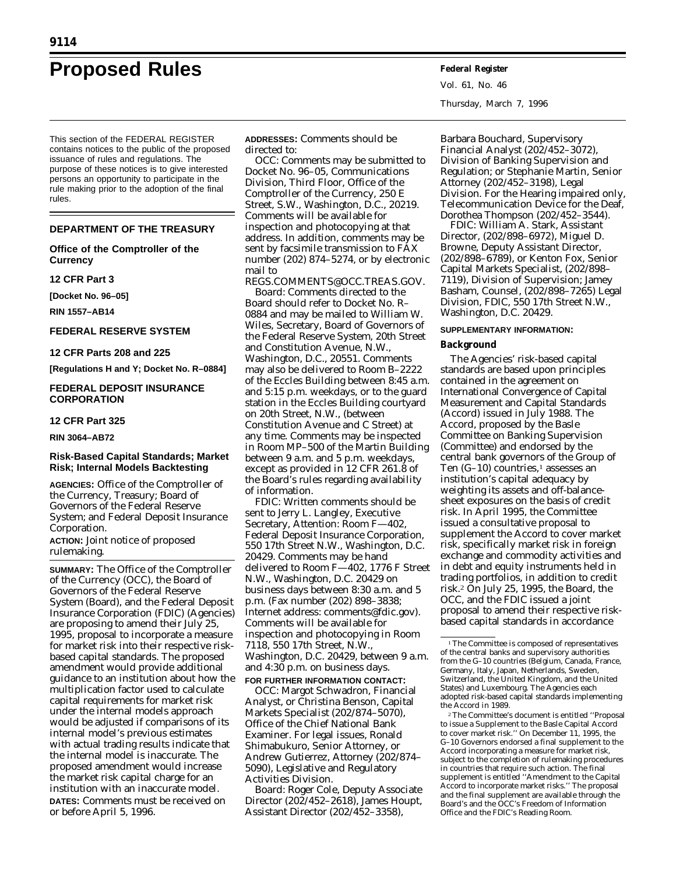# **Proposed Rules Federal Register**

This section of the FEDERAL REGISTER contains notices to the public of the proposed issuance of rules and regulations. The purpose of these notices is to give interested persons an opportunity to participate in the rule making prior to the adoption of the final rules.

## **DEPARTMENT OF THE TREASURY**

**Office of the Comptroller of the Currency**

#### **12 CFR Part 3**

**[Docket No. 96–05]**

**RIN 1557–AB14**

### **FEDERAL RESERVE SYSTEM**

**12 CFR Parts 208 and 225**

**[Regulations H and Y; Docket No. R–0884]**

# **FEDERAL DEPOSIT INSURANCE CORPORATION**

#### **12 CFR Part 325**

**RIN 3064–AB72**

# **Risk-Based Capital Standards; Market Risk; Internal Models Backtesting**

**AGENCIES:** Office of the Comptroller of the Currency, Treasury; Board of Governors of the Federal Reserve System; and Federal Deposit Insurance Corporation.

**ACTION:** Joint notice of proposed rulemaking.

**SUMMARY:** The Office of the Comptroller of the Currency (OCC), the Board of Governors of the Federal Reserve System (Board), and the Federal Deposit Insurance Corporation (FDIC) (Agencies) are proposing to amend their July 25, 1995, proposal to incorporate a measure for market risk into their respective riskbased capital standards. The proposed amendment would provide additional guidance to an institution about how the multiplication factor used to calculate capital requirements for market risk under the internal models approach would be adjusted if comparisons of its internal model's previous estimates with actual trading results indicate that the internal model is inaccurate. The proposed amendment would increase the market risk capital charge for an institution with an inaccurate model. **DATES:** Comments must be received on or before April 5, 1996.

**ADDRESSES:** Comments should be directed to:

OCC: Comments may be submitted to Docket No. 96–05, Communications Division, Third Floor, Office of the Comptroller of the Currency, 250 E Street, S.W., Washington, D.C., 20219. Comments will be available for inspection and photocopying at that address. In addition, comments may be sent by facsimile transmission to FAX number (202) 874–5274, or by electronic mail to

REGS.COMMENTS@OCC.TREAS.GOV.

*Board:* Comments directed to the Board should refer to Docket No. R– 0884 and may be mailed to William W. Wiles, Secretary, Board of Governors of the Federal Reserve System, 20th Street and Constitution Avenue, N.W., Washington, D.C., 20551. Comments may also be delivered to Room B–2222 of the Eccles Building between 8:45 a.m. and 5:15 p.m. weekdays, or to the guard station in the Eccles Building courtyard on 20th Street, N.W., (between Constitution Avenue and C Street) at any time. Comments may be inspected in Room MP–500 of the Martin Building between 9 a.m. and 5 p.m. weekdays, except as provided in 12 CFR 261.8 of the Board's rules regarding availability of information.

*FDIC:* Written comments should be sent to Jerry L. Langley, Executive Secretary, Attention: Room F—402, Federal Deposit Insurance Corporation, 550 17th Street N.W., Washington, D.C. 20429. Comments may be hand delivered to Room F—402, 1776 F Street N.W., Washington, D.C. 20429 on business days between 8:30 a.m. and 5 p.m. (Fax number (202) 898–3838; Internet address: comments@fdic.gov). Comments will be available for inspection and photocopying in Room 7118, 550 17th Street, N.W., Washington, D.C. 20429, between 9 a.m. and 4:30 p.m. on business days. **FOR FURTHER INFORMATION CONTACT:**

OCC: Margot Schwadron, Financial Analyst, or Christina Benson, Capital Markets Specialist (202/874–5070), Office of the Chief National Bank Examiner. For legal issues, Ronald Shimabukuro, Senior Attorney, or Andrew Gutierrez, Attorney (202/874– 5090), Legislative and Regulatory Activities Division.

*Board:* Roger Cole, Deputy Associate Director (202/452–2618), James Houpt, Assistant Director (202/452–3358),

Vol. 61, No. 46 Thursday, March 7, 1996

Barbara Bouchard, Supervisory Financial Analyst (202/452–3072), Division of Banking Supervision and Regulation; or Stephanie Martin, Senior Attorney (202/452–3198), Legal Division. For the Hearing impaired only, Telecommunication Device for the Deaf, Dorothea Thompson (202/452–3544).

*FDIC:* William A. Stark, Assistant Director, (202/898–6972), Miguel D. Browne, Deputy Assistant Director, (202/898–6789), or Kenton Fox, Senior Capital Markets Specialist, (202/898– 7119), Division of Supervision; Jamey Basham, Counsel, (202/898–7265) Legal Division, FDIC, 550 17th Street N.W., Washington, D.C. 20429.

#### **SUPPLEMENTARY INFORMATION:**

#### **Background**

The Agencies' risk-based capital standards are based upon principles contained in the agreement on International Convergence of Capital Measurement and Capital Standards (Accord) issued in July 1988. The Accord, proposed by the Basle Committee on Banking Supervision (Committee) and endorsed by the central bank governors of the Group of Ten  $(G-10)$  countries,<sup>1</sup> assesses an institution's capital adequacy by weighting its assets and off-balancesheet exposures on the basis of credit risk. In April 1995, the Committee issued a consultative proposal to supplement the Accord to cover market risk, specifically market risk in foreign exchange and commodity activities and in debt and equity instruments held in trading portfolios, in addition to credit risk.2 On July 25, 1995, the Board, the OCC, and the FDIC issued a joint proposal to amend their respective riskbased capital standards in accordance

2The Committee's document is entitled ''Proposal to issue a Supplement to the Basle Capital Accord to cover market risk.'' On December 11, 1995, the G–10 Governors endorsed a final supplement to the Accord incorporating a measure for market risk, subject to the completion of rulemaking procedures in countries that require such action. The final supplement is entitled ''Amendment to the Capital Accord to incorporate market risks.'' The proposal and the final supplement are available through the Board's and the OCC's Freedom of Information Office and the FDIC's Reading Room.

<sup>&</sup>lt;sup>1</sup>The Committee is composed of representatives of the central banks and supervisory authorities from the G–10 countries (Belgium, Canada, France, Germany, Italy, Japan, Netherlands, Sweden, Switzerland, the United Kingdom, and the United States) and Luxembourg. The Agencies each adopted risk-based capital standards implementing the Accord in 1989.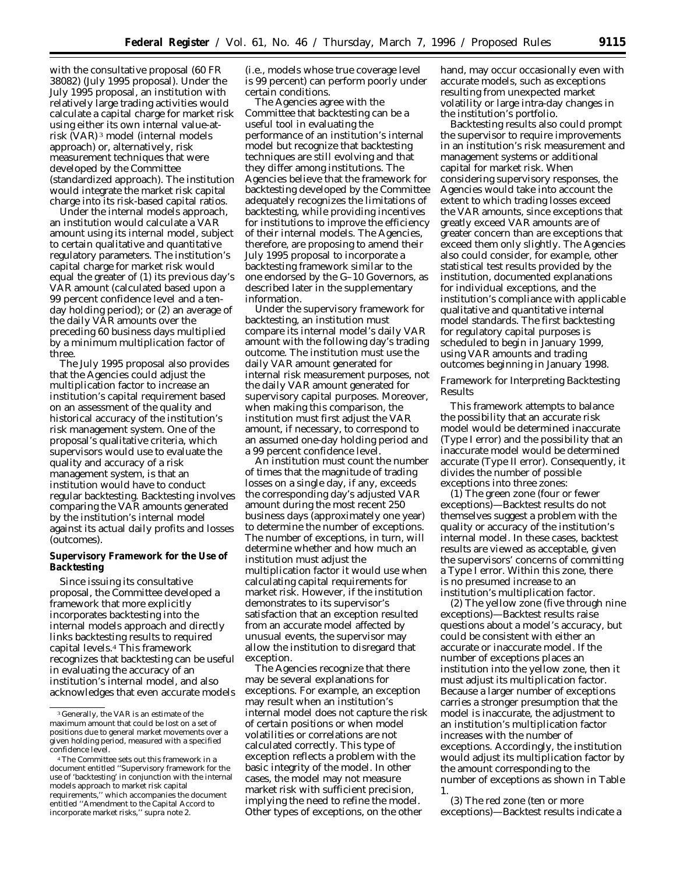with the consultative proposal (60 FR 38082) (July 1995 proposal). Under the July 1995 proposal, an institution with relatively large trading activities would calculate a capital charge for market risk using either its own internal value-atrisk (VAR) 3 model (internal models approach) or, alternatively, risk measurement techniques that were developed by the Committee (standardized approach). The institution would integrate the market risk capital charge into its risk-based capital ratios.

Under the internal models approach, an institution would calculate a VAR amount using its internal model, subject to certain qualitative and quantitative regulatory parameters. The institution's capital charge for market risk would equal the greater of (1) its previous day's VAR amount (calculated based upon a 99 percent confidence level and a tenday holding period); or (2) an average of the daily VAR amounts over the preceding 60 business days multiplied by a minimum *multiplication* factor of three.

The July 1995 proposal also provides that the Agencies could adjust the multiplication factor to increase an institution's capital requirement based on an assessment of the quality and historical accuracy of the institution's risk management system. One of the proposal's qualitative criteria, which supervisors would use to evaluate the quality and accuracy of a risk management system, is that an institution would have to conduct regular backtesting. Backtesting involves comparing the VAR amounts generated by the institution's internal model against its actual daily profits and losses (outcomes).

# **Supervisory Framework for the Use of Backtesting**

Since issuing its consultative proposal, the Committee developed a framework that more explicitly incorporates backtesting into the internal models approach and directly links backtesting results to required capital levels.4 This framework recognizes that backtesting can be useful in evaluating the accuracy of an institution's internal model, and also acknowledges that even accurate models (i.e., models whose true coverage level is 99 percent) can perform poorly under certain conditions.

The Agencies agree with the Committee that backtesting can be a useful tool in evaluating the performance of an institution's internal model but recognize that backtesting techniques are still evolving and that they differ among institutions. The Agencies believe that the framework for backtesting developed by the Committee adequately recognizes the limitations of backtesting, while providing incentives for institutions to improve the efficiency of their internal models. The Agencies, therefore, are proposing to amend their July 1995 proposal to incorporate a backtesting framework similar to the one endorsed by the G–10 Governors, as described later in the supplementary information.

Under the supervisory framework for backtesting, an institution must compare its internal model's daily VAR amount with the following day's trading outcome. The institution must use the daily VAR amount generated for internal risk measurement purposes, not the daily VAR amount generated for supervisory capital purposes. Moreover, when making this comparison, the institution must first adjust the VAR amount, if necessary, to correspond to an assumed one-day holding period and a 99 percent confidence level.

An institution must count the number of times that the magnitude of trading losses on a single day, if any, exceeds the corresponding day's adjusted VAR amount during the most recent 250 business days (approximately one year) to determine the number of exceptions. The number of exceptions, in turn, will determine whether and how much an institution must adjust the multiplication factor it would use when calculating capital requirements for market risk. However, if the institution demonstrates to its supervisor's satisfaction that an exception resulted from an accurate model affected by unusual events, the supervisor may allow the institution to disregard that exception.

The Agencies recognize that there may be several explanations for exceptions. For example, an exception may result when an institution's internal model does not capture the risk of certain positions or when model volatilities or correlations are not calculated correctly. This type of exception reflects a problem with the basic integrity of the model. In other cases, the model may not measure market risk with sufficient precision, implying the need to refine the model. Other types of exceptions, on the other

hand, may occur occasionally even with accurate models, such as exceptions resulting from unexpected market volatility or large intra-day changes in the institution's portfolio.

Backtesting results also could prompt the supervisor to require improvements in an institution's risk measurement and management systems or additional capital for market risk. When considering supervisory responses, the Agencies would take into account the extent to which trading losses exceed the VAR amounts, since exceptions that greatly exceed VAR amounts are of greater concern than are exceptions that exceed them only slightly. The Agencies also could consider, for example, other statistical test results provided by the institution, documented explanations for individual exceptions, and the institution's compliance with applicable qualitative and quantitative internal model standards. The first backtesting for regulatory capital purposes is scheduled to begin in January 1999, using VAR amounts and trading outcomes beginning in January 1998.

## *Framework for Interpreting Backtesting Results*

This framework attempts to balance the possibility that an accurate risk model would be determined inaccurate (Type I error) and the possibility that an inaccurate model would be determined accurate (Type II error). Consequently, it divides the number of possible exceptions into three zones:

(1) The green zone (four or fewer exceptions)—Backtest results do not themselves suggest a problem with the quality or accuracy of the institution's internal model. In these cases, backtest results are viewed as acceptable, given the supervisors' concerns of committing a Type I error. Within this zone, there is no presumed increase to an institution's multiplication factor.

(2) The yellow zone (five through nine exceptions)—Backtest results raise questions about a model's accuracy, but could be consistent with either an accurate or inaccurate model. If the number of exceptions places an institution into the yellow zone, then it must adjust its multiplication factor. Because a larger number of exceptions carries a stronger presumption that the model is inaccurate, the adjustment to an institution's multiplication factor increases with the number of exceptions. Accordingly, the institution would adjust its multiplication factor by the amount corresponding to the number of exceptions as shown in Table 1.

(3) The red zone (ten or more exceptions)—Backtest results indicate a

<sup>3</sup> Generally, the VAR is an estimate of the maximum amount that could be lost on a set of positions due to general market movements over a given holding period, measured with a specified confidence level.

<sup>4</sup>The Committee sets out this framework in a document entitled ''Supervisory framework for the use of 'backtesting' in conjunction with the internal models approach to market risk capital requirements,'' which accompanies the document entitled ''Amendment to the Capital Accord to incorporate market risks,'' *supra* note 2.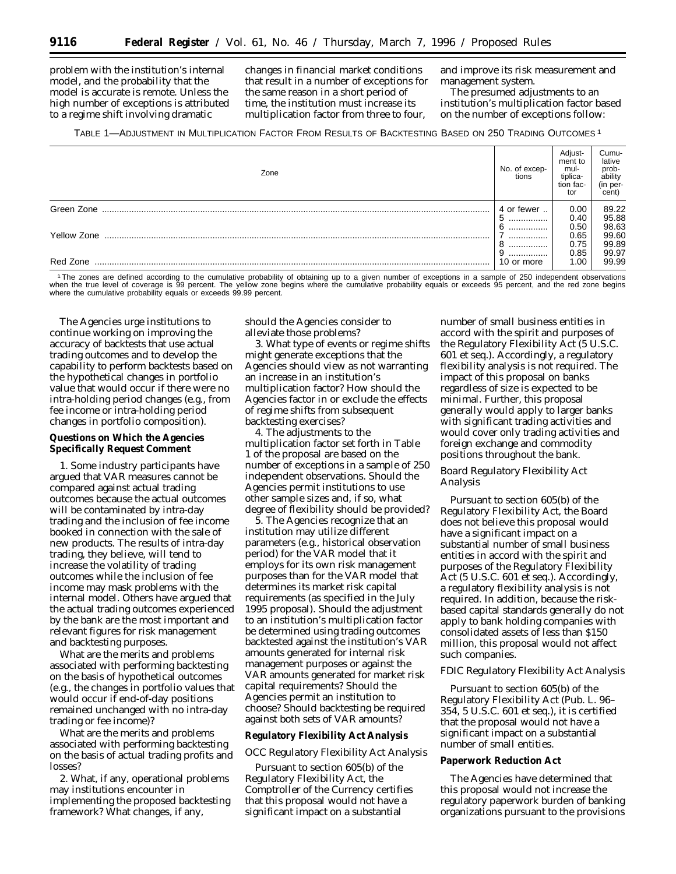problem with the institution's internal model, and the probability that the model is accurate is remote. Unless the high number of exceptions is attributed to a *regime shift* involving dramatic

changes in financial market conditions that result in a number of exceptions for the same reason in a short period of time, the institution must increase its multiplication factor from three to four,

and improve its risk measurement and management system.

The presumed adjustments to an institution's multiplication factor based on the number of exceptions follow:

#### TABLE 1—ADJUSTMENT IN MULTIPLICATION FACTOR FROM RESULTS OF BACKTESTING BASED ON 250 TRADING OUTCOMES 1

| Zone        | No. of excep-<br>tions | Adjust-<br>ment to<br>mul-<br>tiplica-<br>tion fac-<br>tor | Cumu-<br>lative<br>prob-<br>ability<br>(in per-<br>cent) |
|-------------|------------------------|------------------------------------------------------------|----------------------------------------------------------|
| Green Zone  | 4 or fewer<br>         | 0.00<br>0.40<br>0.50                                       | 89.22<br>95.88<br>98.63                                  |
| Yellow Zone | <br><br>.              | 0.65<br>0.75<br>0.85                                       | 99.60<br>99.89<br>99.97                                  |
| Red Zone    | .<br>10 or more        | 1.00                                                       | 99.99                                                    |

1The zones are defined according to the cumulative probability of obtaining up to a given number of exceptions in a sample of 250 independent observations when the true level of coverage is 99 percent. The yellow zone begins where the cumulative probability equals or exceeds 95 percent, and the red zone begins where the cumulative probability equals or exceeds 99.99 percent.

The Agencies urge institutions to continue working on improving the accuracy of backtests that use actual trading outcomes and to develop the capability to perform backtests based on the hypothetical changes in portfolio value that would occur if there were no intra-holding period changes (e.g., from fee income or intra-holding period changes in portfolio composition).

# **Questions on Which the Agencies Specifically Request Comment**

1. Some industry participants have argued that VAR measures cannot be compared against actual trading outcomes because the actual outcomes will be contaminated by intra-day trading and the inclusion of fee income booked in connection with the sale of new products. The results of intra-day trading, they believe, will tend to increase the volatility of trading outcomes while the inclusion of fee income may mask problems with the internal model. Others have argued that the actual trading outcomes experienced by the bank are the most important and relevant figures for risk management and backtesting purposes.

What are the merits and problems associated with performing backtesting on the basis of hypothetical outcomes (e.g., the changes in portfolio values that would occur if end-of-day positions remained unchanged with no intra-day trading or fee income)?

What are the merits and problems associated with performing backtesting on the basis of actual trading profits and losses?

2. What, if any, operational problems may institutions encounter in implementing the proposed backtesting framework? What changes, if any,

should the Agencies consider to alleviate those problems?

3. What type of events or regime shifts might generate exceptions that the Agencies should view as not warranting an increase in an institution's multiplication factor? How should the Agencies factor in or exclude the effects of regime shifts from subsequent backtesting exercises?

4. The adjustments to the multiplication factor set forth in Table 1 of the proposal are based on the number of exceptions in a sample of 250 independent observations. Should the Agencies permit institutions to use other sample sizes and, if so, what degree of flexibility should be provided?

5. The Agencies recognize that an institution may utilize different parameters (e.g., historical observation period) for the VAR model that it employs for its own risk management purposes than for the VAR model that determines its market risk capital requirements (as specified in the July 1995 proposal). Should the adjustment to an institution's multiplication factor be determined using trading outcomes backtested against the institution's VAR amounts generated for internal risk management purposes or against the VAR amounts generated for market risk capital requirements? Should the Agencies permit an institution to choose? Should backtesting be required against both sets of VAR amounts?

## **Regulatory Flexibility Act Analysis**

## *OCC Regulatory Flexibility Act Analysis*

Pursuant to section 605(b) of the Regulatory Flexibility Act, the Comptroller of the Currency certifies that this proposal would not have a significant impact on a substantial

number of small business entities in accord with the spirit and purposes of the Regulatory Flexibility Act (5 U.S.C. 601 *et seq.*). Accordingly, a regulatory flexibility analysis is not required. The impact of this proposal on banks regardless of size is expected to be minimal. Further, this proposal generally would apply to larger banks with significant trading activities and would cover only trading activities and foreign exchange and commodity positions throughout the bank.

# *Board Regulatory Flexibility Act Analysis*

Pursuant to section 605(b) of the Regulatory Flexibility Act, the Board does not believe this proposal would have a significant impact on a substantial number of small business entities in accord with the spirit and purposes of the Regulatory Flexibility Act (5 U.S.C. 601 *et seq.*). Accordingly, a regulatory flexibility analysis is not required. In addition, because the riskbased capital standards generally do not apply to bank holding companies with consolidated assets of less than \$150 million, this proposal would not affect such companies.

### *FDIC Regulatory Flexibility Act Analysis*

Pursuant to section 605(b) of the Regulatory Flexibility Act (Pub. L. 96– 354, 5 U.S.C. 601 *et seq.*), it is certified that the proposal would not have a significant impact on a substantial number of small entities.

#### **Paperwork Reduction Act**

The Agencies have determined that this proposal would not increase the regulatory paperwork burden of banking organizations pursuant to the provisions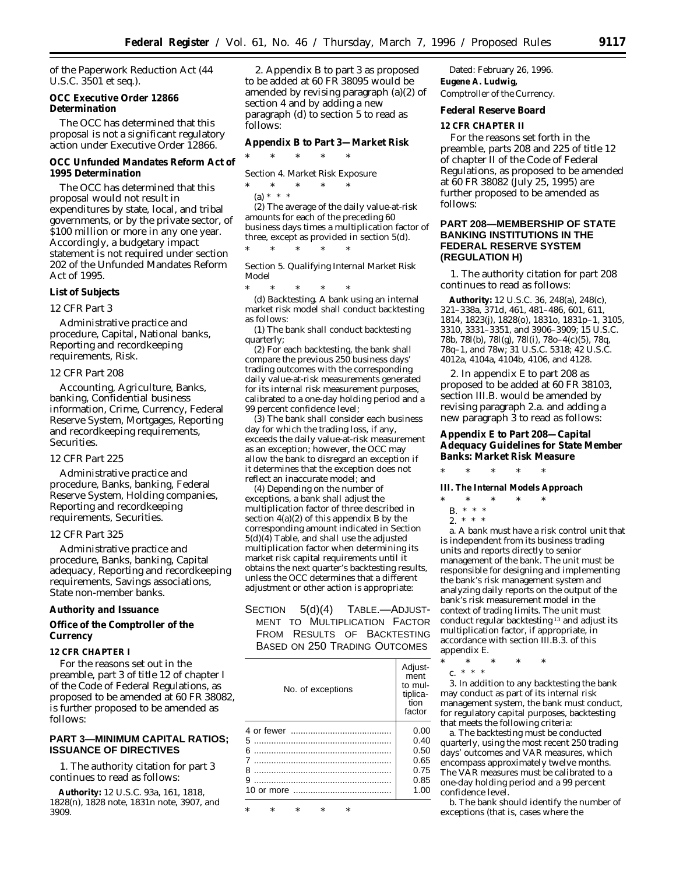of the Paperwork Reduction Act (44 U.S.C. 3501 *et seq.*).

**OCC Executive Order 12866 Determination**

The OCC has determined that this proposal is not a significant regulatory action under Executive Order 12866.

**OCC Unfunded Mandates Reform Act of 1995 Determination**

The OCC has determined that this proposal would not result in expenditures by state, local, and tribal governments, or by the private sector, of \$100 million or more in any one year. Accordingly, a budgetary impact statement is not required under section 202 of the Unfunded Mandates Reform Act of 1995.

# **List of Subjects**

## *12 CFR Part 3*

Administrative practice and procedure, Capital, National banks, Reporting and recordkeeping requirements, Risk.

#### *12 CFR Part 208*

Accounting, Agriculture, Banks, banking, Confidential business information, Crime, Currency, Federal Reserve System, Mortgages, Reporting and recordkeeping requirements, Securities.

## *12 CFR Part 225*

Administrative practice and procedure, Banks, banking, Federal Reserve System, Holding companies, Reporting and recordkeeping requirements, Securities.

### *12 CFR Part 325*

Administrative practice and procedure, Banks, banking, Capital adequacy, Reporting and recordkeeping requirements, Savings associations, State non-member banks.

**Authority and Issuance**

**Office of the Comptroller of the Currency**

#### **12 CFR CHAPTER I**

For the reasons set out in the preamble, part 3 of title 12 of chapter I of the Code of Federal Regulations, as proposed to be amended at 60 FR 38082, is further proposed to be amended as follows:

# **PART 3—MINIMUM CAPITAL RATIOS; ISSUANCE OF DIRECTIVES**

1. The authority citation for part 3 continues to read as follows:

**Authority:** 12 U.S.C. 93a, 161, 1818, 1828(n), 1828 note, 1831n note, 3907, and 3909.

2. Appendix B to part 3 as proposed to be added at 60 FR 38095 would be amended by revising paragraph (a)(2) of section 4 and by adding a new paragraph (d) to section 5 to read as follows:

**Appendix B to Part 3—Market Risk**

\* \* \* \* \*

*Section 4. Market Risk Exposure*

\* \* \* \* \* (a) \* \* \*

(2) The average of the daily value-at-risk amounts for each of the preceding 60 business days times a multiplication factor of three, except as provided in section 5(d).

\* \* \* \* \*

*Section 5. Qualifying Internal Market Risk Model*

\* \* \* \* \*

(d) *Backtesting.* A bank using an internal market risk model shall conduct backtesting as follows:

(1) The bank shall conduct backtesting quarterly;

(2) For each backtesting, the bank shall compare the previous 250 business days' trading outcomes with the corresponding daily value-at-risk measurements generated for its internal risk measurement purposes, calibrated to a one-day holding period and a 99 percent confidence level;

(3) The bank shall consider each business day for which the trading loss, if any, exceeds the daily value-at-risk measurement as an exception; however, the OCC may allow the bank to disregard an exception if it determines that the exception does not reflect an inaccurate model; and

(4) Depending on the number of exceptions, a bank shall adjust the multiplication factor of three described in section 4(a)(2) of this appendix B by the corresponding amount indicated in Section  $5(d)(4)$  Table, and shall use the adjusted multiplication factor when determining its market risk capital requirements until it obtains the next quarter's backtesting results, unless the OCC determines that a different adjustment or other action is appropriate:

SECTION 5(d)(4) TABLE.—ADJUST-MENT TO MULTIPLICATION FACTOR FROM RESULTS OF BACKTESTING BASED ON 250 TRADING OUTCOMES

| No. of exceptions | Adjust-<br>ment<br>to mul-<br>tiplica-<br>tion<br>factor |
|-------------------|----------------------------------------------------------|
|                   | 0.00                                                     |
| 5                 | 0.40                                                     |
| 6                 | 0.50                                                     |
| 7                 | 0.65                                                     |
| 8                 | 0.75                                                     |
| 9                 | 0.85                                                     |
|                   | 1.00                                                     |
|                   |                                                          |

\* \* \* \* \*

Dated: February 26, 1996. **Eugene A. Ludwig,** *Comptroller of the Currency.*

**Federal Reserve Board**

**12 CFR CHAPTER II**

For the reasons set forth in the preamble, parts 208 and 225 of title 12 of chapter II of the Code of Federal Regulations, as proposed to be amended at 60 FR 38082 (July 25, 1995) are further proposed to be amended as follows:

# **PART 208—MEMBERSHIP OF STATE BANKING INSTITUTIONS IN THE FEDERAL RESERVE SYSTEM (REGULATION H)**

1. The authority citation for part 208 continues to read as follows:

**Authority:** 12 U.S.C. 36, 248(a), 248(c), 321–338a, 371d, 461, 481–486, 601, 611, 1814, 1823(j), 1828(o), 1831o, 1831p–1, 3105, 3310, 3331–3351, and 3906–3909; 15 U.S.C. 78b, 78l(b), 78l(g), 78l(i), 78o–4(c)(5), 78q, 78q–1, and 78w; 31 U.S.C. 5318; 42 U.S.C. 4012a, 4104a, 4104b, 4106, and 4128.

2. In appendix E to part 208 as proposed to be added at 60 FR 38103, section III.B. would be amended by revising paragraph 2.a. and adding a new paragraph 3 to read as follows:

**Appendix E to Part 208—Capital Adequacy Guidelines for State Member Banks: Market Risk Measure**

\* \* \* \* \*

**III. The Internal Models Approach**

- \* \* \* \* \*
	- B. \* \* \*
	- $2. * * * *$

a. A bank must have a risk control unit that is independent from its business trading units and reports directly to senior management of the bank. The unit must be responsible for designing and implementing the bank's risk management system and analyzing daily reports on the output of the bank's risk measurement model in the context of trading limits. The unit must conduct regular backtesting 13 and adjust its multiplication factor, if appropriate, in accordance with section III.B.3. of this appendix E.

- \* \* \* \* \*
	- c. \* \* \*

3. In addition to any backtesting the bank may conduct as part of its internal risk management system, the bank must conduct, for regulatory capital purposes, backtesting that meets the following criteria:

a. The backtesting must be conducted quarterly, using the most recent 250 trading days' outcomes and VAR measures, which encompass approximately twelve months. The VAR measures must be calibrated to a one-day holding period and a 99 percent confidence level.

b. The bank should identify the number of exceptions (that is, cases where the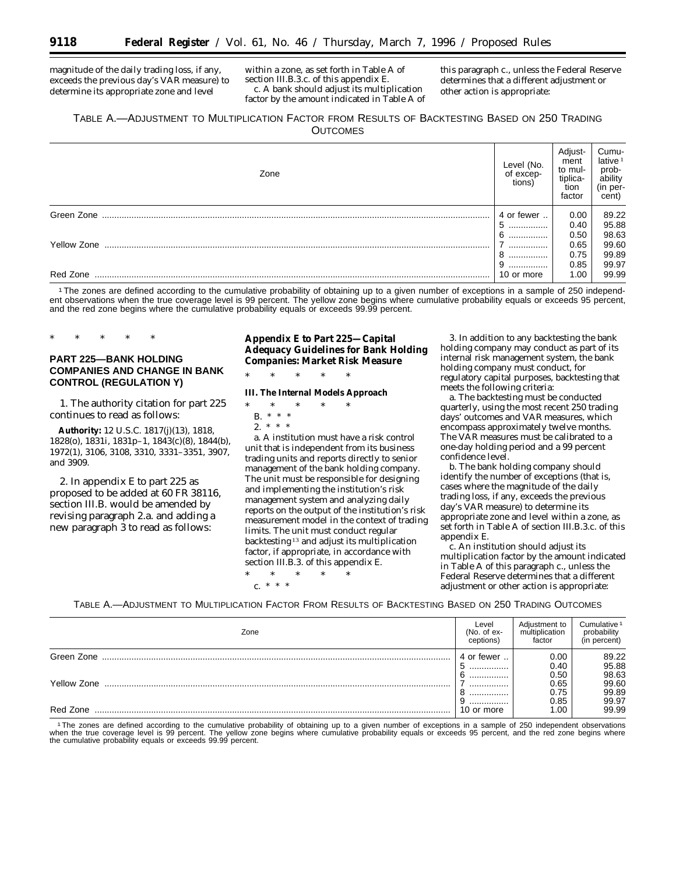magnitude of the daily trading loss, if any, exceeds the previous day's VAR measure) to determine its appropriate zone and level

within a zone, as set forth in Table A of section III.B.3.c. of this appendix E. c. A bank should adjust its multiplication factor by the amount indicated in Table A of

this paragraph c., unless the Federal Reserve determines that a different adjustment or other action is appropriate:

# TABLE A.—ADJUSTMENT TO MULTIPLICATION FACTOR FROM RESULTS OF BACKTESTING BASED ON 250 TRADING **OUTCOMES**

| Zone               | Level (No.<br>of excep-<br>tions) | Adjust-<br>ment<br>to mul-<br>tiplica-<br>tion<br>factor | Cumu-<br>lative $1$<br>prob-<br>ability<br>(in per-<br>cent) |
|--------------------|-----------------------------------|----------------------------------------------------------|--------------------------------------------------------------|
| Green Zone         | 4 or fewer                        | 0.00                                                     | 89.22                                                        |
|                    | 5<br>                             | 0.40                                                     | 95.88                                                        |
| <b>Yellow Zone</b> | 6<br>                             | 0.50                                                     | 98.63                                                        |
|                    |                                   | 0.65                                                     | 99.60                                                        |
|                    | 8<br>                             | 0.75                                                     | 99.89                                                        |
|                    |                                   | 0.85                                                     | 99.97                                                        |
| Red Zone           | 10 or more                        | 1.00                                                     | 99.99                                                        |

1The zones are defined according to the cumulative probability of obtaining up to a given number of exceptions in a sample of 250 independent observations when the true coverage level is 99 percent. The yellow zone begins where cumulative probability equals or exceeds 95 percent, and the red zone begins where the cumulative probability equals or exceeds 99.99 percent.

# **PART 225—BANK HOLDING COMPANIES AND CHANGE IN BANK CONTROL (REGULATION Y)**

\* \* \* \* \*

1. The authority citation for part 225 continues to read as follows:

**Authority:** 12 U.S.C. 1817(j)(13), 1818, 1828(o), 1831i, 1831p–1, 1843(c)(8), 1844(b), 1972(1), 3106, 3108, 3310, 3331–3351, 3907, and 3909.

2. In appendix E to part 225 as proposed to be added at 60 FR 38116, section III.B. would be amended by revising paragraph 2.a. and adding a new paragraph 3 to read as follows:

**Appendix E to Part 225—Capital Adequacy Guidelines for Bank Holding Companies: Market Risk Measure**

\* \* \* \* \*

**III. The Internal Models Approach**

- \* \* \* \* \* B. \* \* \* 2. \* \* \*
	-

a. A institution must have a risk control unit that is independent from its business trading units and reports directly to senior management of the bank holding company. The unit must be responsible for designing and implementing the institution's risk management system and analyzing daily reports on the output of the institution's risk measurement model in the context of trading limits. The unit must conduct regular backtesting 13 and adjust its multiplication factor, if appropriate, in accordance with section III.B.3. of this appendix E.

\* \* \* \* \* c. \* \* \*

3. In addition to any backtesting the bank holding company may conduct as part of its internal risk management system, the bank holding company must conduct, for regulatory capital purposes, backtesting that meets the following criteria:

a. The backtesting must be conducted quarterly, using the most recent 250 trading days' outcomes and VAR measures, which encompass approximately twelve months. The VAR measures must be calibrated to a one-day holding period and a 99 percent confidence level.

b. The bank holding company should identify the number of exceptions (that is, cases where the magnitude of the daily trading loss, if any, exceeds the previous day's VAR measure) to determine its appropriate zone and level within a zone, as set forth in Table A of section III.B.3.c. of this appendix E.

c. An institution should adjust its multiplication factor by the amount indicated in Table A of this paragraph c., unless the Federal Reserve determines that a different adjustment or other action is appropriate:

TABLE A.—ADJUSTMENT TO MULTIPLICATION FACTOR FROM RESULTS OF BACKTESTING BASED ON 250 TRADING OUTCOMES

| Zone        | Level<br>$(No. of ex-$<br>ceptions) | Adjustment to<br>multiplication<br>factor | Cumulative <sup>1</sup><br>probability<br>(in percent) |
|-------------|-------------------------------------|-------------------------------------------|--------------------------------------------------------|
| Green Zone  | ∈or fewer<br>4                      | 0.00                                      | 89.22                                                  |
|             | э<br>                               | 0.40                                      | 95.88                                                  |
|             |                                     | 0.50                                      | 98.63                                                  |
| Yellow Zone |                                     | 0.65                                      | 99.60                                                  |
|             |                                     | 0.75                                      | 99.89                                                  |
|             |                                     | 0.85                                      | 99.97                                                  |
| Red Zone    | 10 or more                          | 1.00                                      | 99.99                                                  |

<sup>1</sup>The zones are defined according to the cumulative probability of obtaining up to a given number of exceptions in a sample of 250 independent observations<br>when the true coverage level is 99 percent. The yellow zone begin